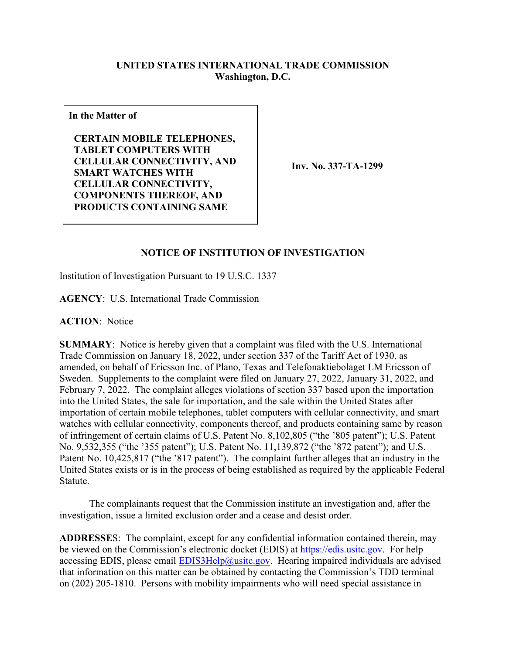## **UNITED STATES INTERNATIONAL TRADE COMMISSION Washington, D.C.**

**In the Matter of**

**CERTAIN MOBILE TELEPHONES, TABLET COMPUTERS WITH CELLULAR CONNECTIVITY, AND SMART WATCHES WITH CELLULAR CONNECTIVITY, COMPONENTS THEREOF, AND PRODUCTS CONTAINING SAME**

**Inv. No. 337-TA-1299**

## **NOTICE OF INSTITUTION OF INVESTIGATION**

Institution of Investigation Pursuant to 19 U.S.C. 1337

**AGENCY**: U.S. International Trade Commission

**ACTION**: Notice

**SUMMARY**: Notice is hereby given that a complaint was filed with the U.S. International Trade Commission on January 18, 2022, under section 337 of the Tariff Act of 1930, as amended, on behalf of Ericsson Inc. of Plano, Texas and Telefonaktiebolaget LM Ericsson of Sweden. Supplements to the complaint were filed on January 27, 2022, January 31, 2022, and February 7, 2022. The complaint alleges violations of section 337 based upon the importation into the United States, the sale for importation, and the sale within the United States after importation of certain mobile telephones, tablet computers with cellular connectivity, and smart watches with cellular connectivity, components thereof, and products containing same by reason of infringement of certain claims of U.S. Patent No. 8,102,805 ("the '805 patent"); U.S. Patent No. 9,532,355 ("the '355 patent"); U.S. Patent No. 11,139,872 ("the '872 patent"); and U.S. Patent No. 10,425,817 ("the '817 patent"). The complaint further alleges that an industry in the United States exists or is in the process of being established as required by the applicable Federal Statute.

The complainants request that the Commission institute an investigation and, after the investigation, issue a limited exclusion order and a cease and desist order.

**ADDRESSE**S: The complaint, except for any confidential information contained therein, may be viewed on the Commission's electronic docket (EDIS) at [https://edis.usitc.gov.](https://edis.usitc.gov/) For help accessing EDIS, please email  $EDIS3Help@usite.gov$ . Hearing impaired individuals are advised that information on this matter can be obtained by contacting the Commission's TDD terminal on (202) 205-1810. Persons with mobility impairments who will need special assistance in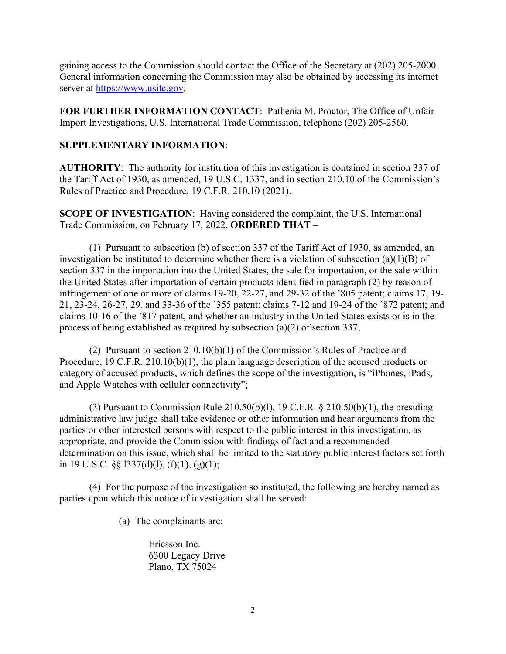gaining access to the Commission should contact the Office of the Secretary at (202) 205-2000. General information concerning the Commission may also be obtained by accessing its internet server at [https://www.usitc.gov.](https://www.usitc.gov/)

**FOR FURTHER INFORMATION CONTACT**: Pathenia M. Proctor, The Office of Unfair Import Investigations, U.S. International Trade Commission, telephone (202) 205-2560.

## **SUPPLEMENTARY INFORMATION**:

**AUTHORITY**: The authority for institution of this investigation is contained in section 337 of the Tariff Act of 1930, as amended, 19 U.S.C. 1337, and in section 210.10 of the Commission's Rules of Practice and Procedure, 19 C.F.R. 210.10 (2021).

**SCOPE OF INVESTIGATION**: Having considered the complaint, the U.S. International Trade Commission, on February 17, 2022, **ORDERED THAT** –

(1) Pursuant to subsection (b) of section 337 of the Tariff Act of 1930, as amended, an investigation be instituted to determine whether there is a violation of subsection (a)(1)(B) of section 337 in the importation into the United States, the sale for importation, or the sale within the United States after importation of certain products identified in paragraph (2) by reason of infringement of one or more of claims 19-20, 22-27, and 29-32 of the '805 patent; claims 17, 19- 21, 23-24, 26-27, 29, and 33-36 of the '355 patent; claims 7-12 and 19-24 of the '872 patent; and claims 10-16 of the '817 patent, and whether an industry in the United States exists or is in the process of being established as required by subsection (a)(2) of section 337;

(2) Pursuant to section 210.10(b)(1) of the Commission's Rules of Practice and Procedure, 19 C.F.R. 210.10(b)(1), the plain language description of the accused products or category of accused products, which defines the scope of the investigation, is "iPhones, iPads, and Apple Watches with cellular connectivity";

(3) Pursuant to Commission Rule  $210.50(b)(1)$ , 19 C.F.R. §  $210.50(b)(1)$ , the presiding administrative law judge shall take evidence or other information and hear arguments from the parties or other interested persons with respect to the public interest in this investigation, as appropriate, and provide the Commission with findings of fact and a recommended determination on this issue, which shall be limited to the statutory public interest factors set forth in 19 U.S.C. §§ l337(d)(l), (f)(1), (g)(1);

(4) For the purpose of the investigation so instituted, the following are hereby named as parties upon which this notice of investigation shall be served:

(a) The complainants are:

Ericsson Inc. 6300 Legacy Drive Plano, TX 75024